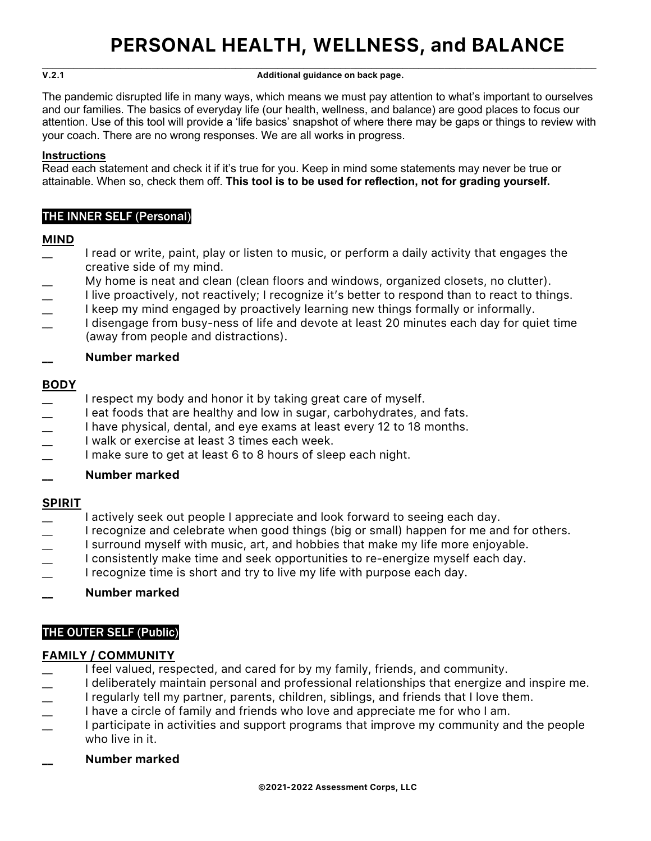\_\_\_\_\_\_\_\_\_\_\_\_\_\_\_\_\_\_\_\_\_\_\_\_\_\_\_\_\_\_\_\_\_\_\_\_\_\_\_\_\_\_\_\_\_\_\_\_\_\_\_\_\_\_\_\_\_\_\_\_\_\_\_\_\_\_\_\_\_\_\_\_\_\_\_\_\_\_\_\_\_\_\_\_\_\_\_\_\_\_\_\_\_\_\_\_\_\_\_\_\_\_\_\_\_\_ **V.2.1 Additional guidance on back page.**

The pandemic disrupted life in many ways, which means we must pay attention to what's important to ourselves and our families. The basics of everyday life (our health, wellness, and balance) are good places to focus our attention. Use of this tool will provide a 'life basics' snapshot of where there may be gaps or things to review with your coach. There are no wrong responses. We are all works in progress.

## **Instructions**

Read each statement and check it if it's true for you. Keep in mind some statements may never be true or attainable. When so, check them off. **This tool is to be used for reflection, not for grading yourself.**

# THE INNER SELF (Personal)

## **MIND**

- I read or write, paint, play or listen to music, or perform a daily activity that engages the creative side of my mind.
- My home is neat and clean (clean floors and windows, organized closets, no clutter).
- I live proactively, not reactively; I recognize it's better to respond than to react to things.
- I keep my mind engaged by proactively learning new things formally or informally.
- I disengage from busy-ness of life and devote at least 20 minutes each day for quiet time (away from people and distractions).

## **\_\_ Number marked**

## **BODY**

- I respect my body and honor it by taking great care of myself.
- $\perp$  I eat foods that are healthy and low in sugar, carbohydrates, and fats.
- \_\_ I have physical, dental, and eye exams at least every 12 to 18 months.
- \_\_ I walk or exercise at least 3 times each week.
- \_\_ I make sure to get at least 6 to 8 hours of sleep each night.
- **\_\_ Number marked**

## **SPIRIT**

- I actively seek out people I appreciate and look forward to seeing each day.
- \_\_ I recognize and celebrate when good things (big or small) happen for me and for others.
- I surround myself with music, art, and hobbies that make my life more enjoyable.
- I consistently make time and seek opportunities to re-energize myself each day.
- I recognize time is short and try to live my life with purpose each day.

## **\_\_ Number marked**

# THE OUTER SELF (Public)

## **FAMILY / COMMUNITY**

- I feel valued, respected, and cared for by my family, friends, and community.
- $\perp$  I deliberately maintain personal and professional relationships that energize and inspire me.
- I regularly tell my partner, parents, children, siblings, and friends that I love them.
- I have a circle of family and friends who love and appreciate me for who I am.
- I participate in activities and support programs that improve my community and the people who live in it.

## **\_\_ Number marked**